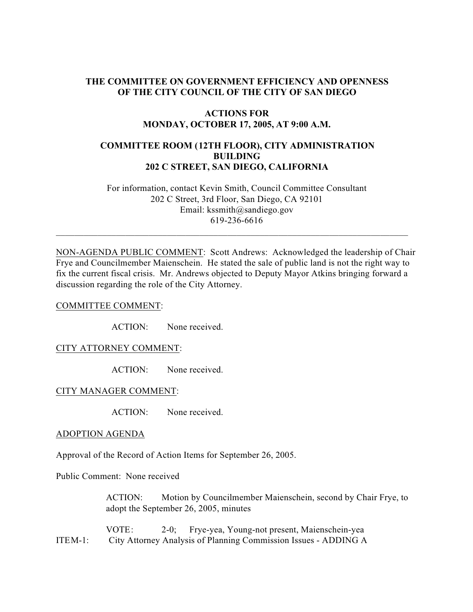### **THE COMMITTEE ON GOVERNMENT EFFICIENCY AND OPENNESS OF THE CITY COUNCIL OF THE CITY OF SAN DIEGO**

### **ACTIONS FOR MONDAY, OCTOBER 17, 2005, AT 9:00 A.M.**

# **COMMITTEE ROOM (12TH FLOOR), CITY ADMINISTRATION BUILDING 202 C STREET, SAN DIEGO, CALIFORNIA**

 For information, contact Kevin Smith, Council Committee Consultant 202 C Street, 3rd Floor, San Diego, CA 92101 Email: kssmith@sandiego.gov 619-236-6616

 $\_$  , and the set of the set of the set of the set of the set of the set of the set of the set of the set of the set of the set of the set of the set of the set of the set of the set of the set of the set of the set of th

NON-AGENDA PUBLIC COMMENT: Scott Andrews: Acknowledged the leadership of Chair Frye and Councilmember Maienschein. He stated the sale of public land is not the right way to fix the current fiscal crisis. Mr. Andrews objected to Deputy Mayor Atkins bringing forward a discussion regarding the role of the City Attorney.

#### COMMITTEE COMMENT:

ACTION: None received.

### CITY ATTORNEY COMMENT:

ACTION: None received.

#### CITY MANAGER COMMENT:

ACTION: None received.

#### ADOPTION AGENDA

Approval of the Record of Action Items for September 26, 2005.

Public Comment: None received

 ACTION: Motion by Councilmember Maienschein, second by Chair Frye, to adopt the September 26, 2005, minutes

 VOTE: 2-0; Frye-yea, Young-not present, Maienschein-yea ITEM-1: City Attorney Analysis of Planning Commission Issues - ADDING A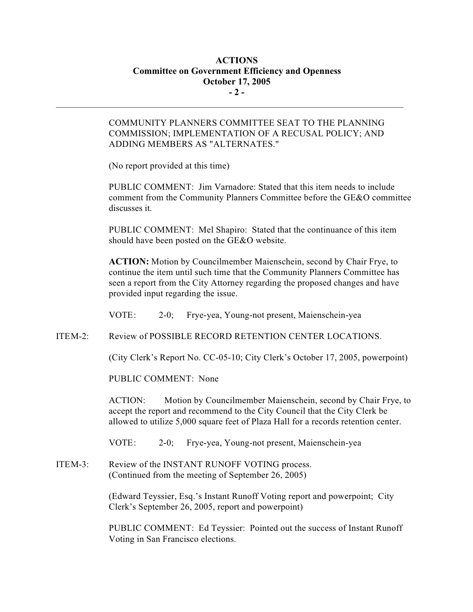# **ACTIONS Committee on Government Efficiency and Openness October 17, 2005 - 2 -**

 $\mathcal{L}_\text{max}$ 

## COMMUNITY PLANNERS COMMITTEE SEAT TO THE PLANNING COMMISSION; IMPLEMENTATION OF A RECUSAL POLICY; AND ADDING MEMBERS AS "ALTERNATES."

(No report provided at this time)

PUBLIC COMMENT: Jim Varnadore: Stated that this item needs to include comment from the Community Planners Committee before the GE&O committee discusses it.

PUBLIC COMMENT: Mel Shapiro: Stated that the continuance of this item should have been posted on the GE&O website.

**ACTION:** Motion by Councilmember Maienschein, second by Chair Frye, to continue the item until such time that the Community Planners Committee has seen a report from the City Attorney regarding the proposed changes and have provided input regarding the issue.

VOTE: 2-0; Frye-yea, Young-not present, Maienschein-yea

ITEM-2: Review of POSSIBLE RECORD RETENTION CENTER LOCATIONS.

(City Clerk's Report No. CC-05-10; City Clerk's October 17, 2005, powerpoint)

PUBLIC COMMENT: None

ACTION: Motion by Councilmember Maienschein, second by Chair Frye, to accept the report and recommend to the City Council that the City Clerk be allowed to utilize 5,000 square feet of Plaza Hall for a records retention center.

VOTE: 2-0; Frye-yea, Young-not present, Maienschein-yea

ITEM-3: Review of the INSTANT RUNOFF VOTING process. (Continued from the meeting of September 26, 2005)

> (Edward Teyssier, Esq.'s Instant Runoff Voting report and powerpoint; City Clerk's September 26, 2005, report and powerpoint)

PUBLIC COMMENT: Ed Teyssier: Pointed out the success of Instant Runoff Voting in San Francisco elections.